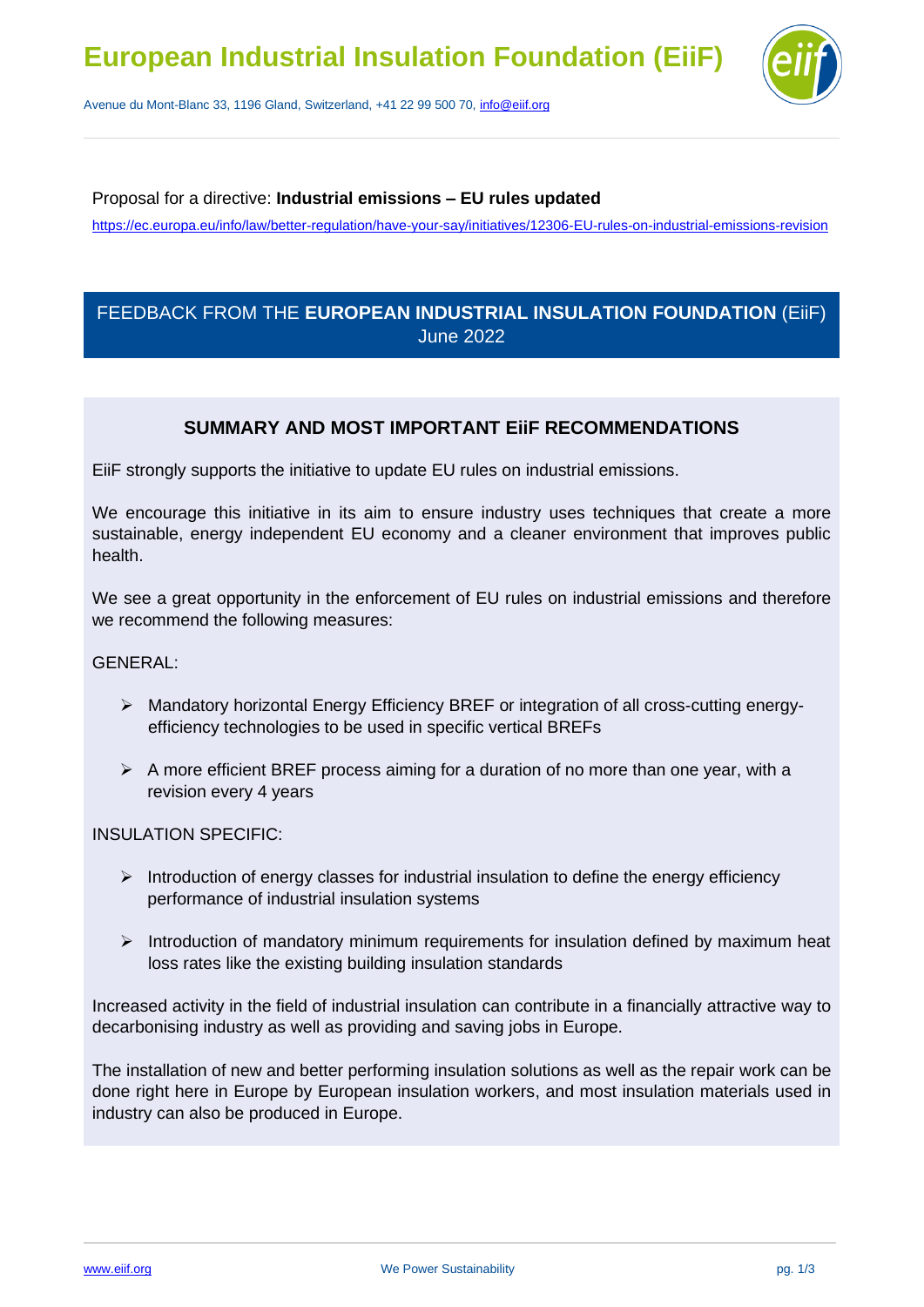

Avenue du Mont-Blanc 33, 1196 Gland, Switzerland, +41 22 99 500 70, [info@eiif.org](mailto:info@eiif.org)

#### Proposal for a directive: **Industrial emissions – EU rules updated**

https://ec.europa.eu/info/law/better-regulation/have-your-say/initiatives/12306-EU-rules-on-industrial-emissions-revision

# FEEDBACK FROM THE **EUROPEAN INDUSTRIAL INSULATION FOUNDATION** (EiiF) June 2022

## **SUMMARY AND MOST IMPORTANT EiiF RECOMMENDATIONS**

EiiF strongly supports the initiative to update EU rules on industrial emissions.

We encourage this initiative in its aim to ensure industry uses techniques that create a more sustainable, energy independent EU economy and a cleaner environment that improves public health.

We see a great opportunity in the enforcement of EU rules on industrial emissions and therefore we recommend the following measures:

#### GENERAL:

- ➢ Mandatory horizontal Energy Efficiency BREF or integration of all cross-cutting energyefficiency technologies to be used in specific vertical BREFs
- $\triangleright$  A more efficient BREF process aiming for a duration of no more than one year, with a revision every 4 years

#### INSULATION SPECIFIC:

- $\triangleright$  Introduction of energy classes for industrial insulation to define the energy efficiency performance of industrial insulation systems
- ➢ Introduction of mandatory minimum requirements for insulation defined by maximum heat loss rates like the existing building insulation standards

Increased activity in the field of industrial insulation can contribute in a financially attractive way to decarbonising industry as well as providing and saving jobs in Europe.

The installation of new and better performing insulation solutions as well as the repair work can be done right here in Europe by European insulation workers, and most insulation materials used in industry can also be produced in Europe.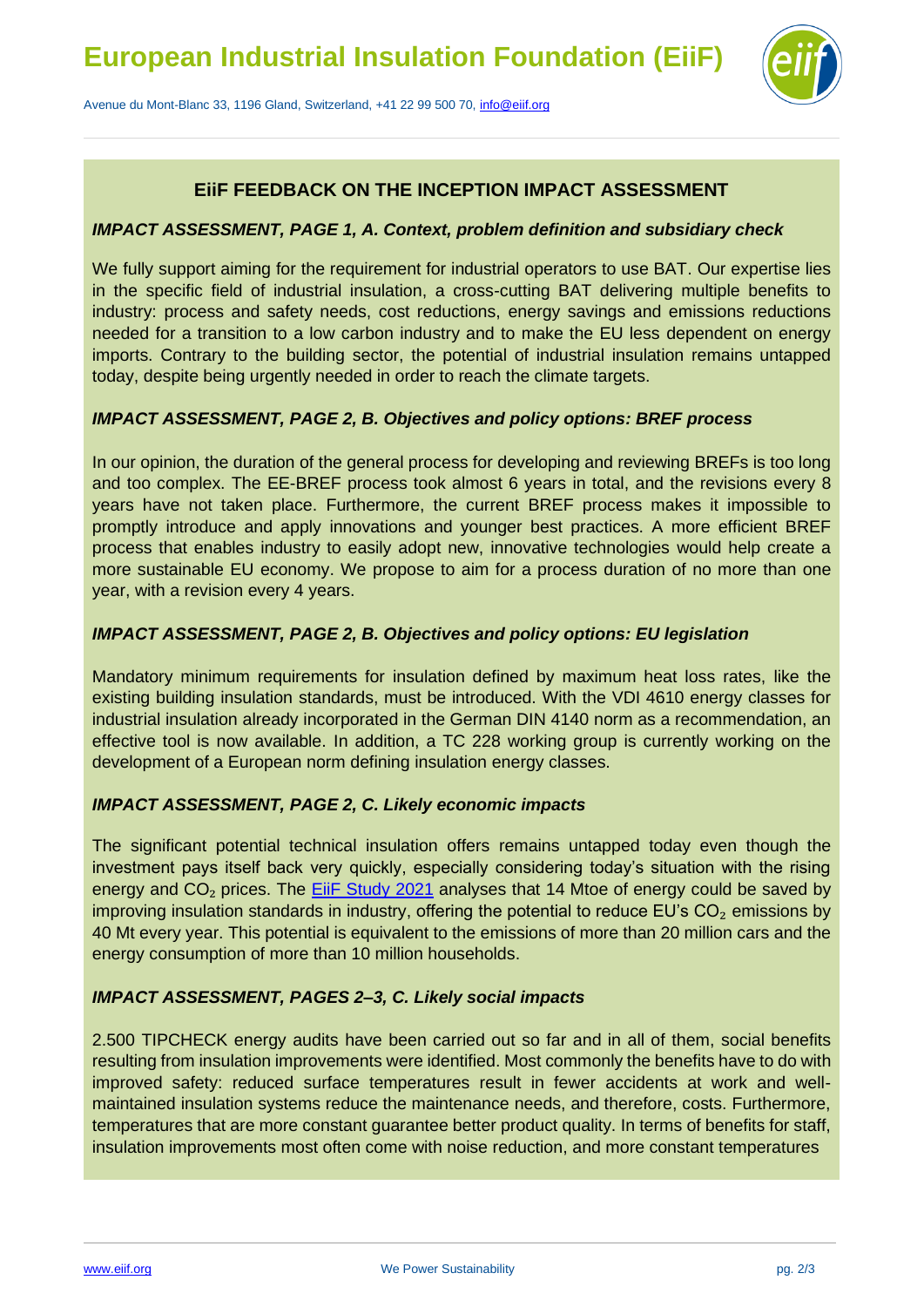

Avenue du Mont-Blanc 33, 1196 Gland, Switzerland, +41 22 99 500 70, [info@eiif.org](mailto:info@eiif.org)

# **EiiF FEEDBACK ON THE INCEPTION IMPACT ASSESSMENT**

### *IMPACT ASSESSMENT, PAGE 1, A. Context, problem definition and subsidiary check*

We fully support aiming for the requirement for industrial operators to use BAT. Our expertise lies in the specific field of industrial insulation, a cross-cutting BAT delivering multiple benefits to industry: process and safety needs, cost reductions, energy savings and emissions reductions needed for a transition to a low carbon industry and to make the EU less dependent on energy imports. Contrary to the building sector, the potential of industrial insulation remains untapped today, despite being urgently needed in order to reach the climate targets.

## *IMPACT ASSESSMENT, PAGE 2, B. Objectives and policy options: BREF process*

In our opinion, the duration of the general process for developing and reviewing BREFs is too long and too complex. The EE-BREF process took almost 6 years in total, and the revisions every 8 years have not taken place. Furthermore, the current BREF process makes it impossible to promptly introduce and apply innovations and younger best practices. A more efficient BREF process that enables industry to easily adopt new, innovative technologies would help create a more sustainable EU economy. We propose to aim for a process duration of no more than one year, with a revision every 4 years.

#### *IMPACT ASSESSMENT, PAGE 2, B. Objectives and policy options: EU legislation*

Mandatory minimum requirements for insulation defined by maximum heat loss rates, like the existing building insulation standards, must be introduced. With the VDI 4610 energy classes for industrial insulation already incorporated in the German DIN 4140 norm as a recommendation, an effective tool is now available. In addition, a TC 228 working group is currently working on the development of a European norm defining insulation energy classes.

#### *IMPACT ASSESSMENT, PAGE 2, C. Likely economic impacts*

The significant potential technical insulation offers remains untapped today even though the investment pays itself back very quickly, especially considering today's situation with the rising energy and CO<sub>2</sub> prices. The **EiiF Study 2021** analyses that 14 Mtoe of energy could be saved by improving insulation standards in industry, offering the potential to reduce EU's  $CO<sub>2</sub>$  emissions by 40 Mt every year. This potential is equivalent to the emissions of more than 20 million cars and the energy consumption of more than 10 million households.

## *IMPACT ASSESSMENT, PAGES 2–3, C. Likely social impacts*

2.500 TIPCHECK energy audits have been carried out so far and in all of them, social benefits resulting from insulation improvements were identified. Most commonly the benefits have to do with improved safety: reduced surface temperatures result in fewer accidents at work and wellmaintained insulation systems reduce the maintenance needs, and therefore, costs. Furthermore, temperatures that are more constant guarantee better product quality. In terms of benefits for staff, insulation improvements most often come with noise reduction, and more constant temperatures